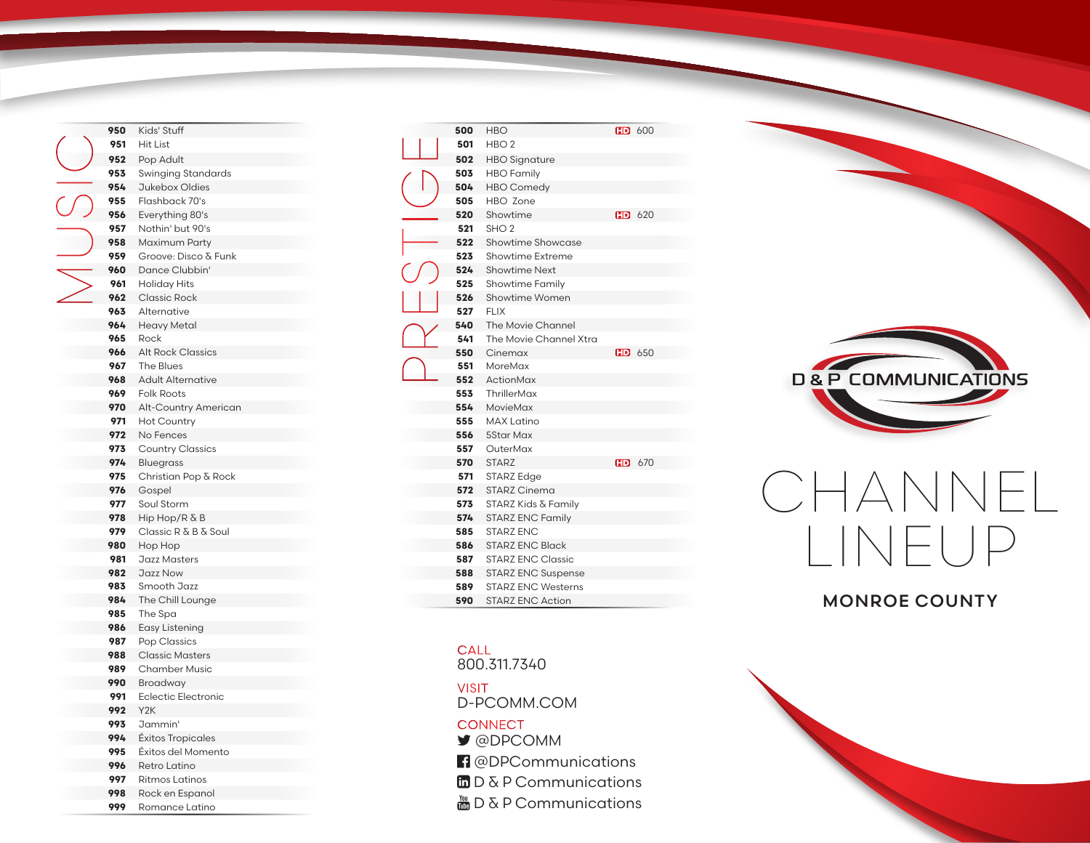| 950 | Kids' Stuff                         |
|-----|-------------------------------------|
| 951 | Hit List                            |
| 952 | Pop Adult                           |
| 953 | Swinging Standards                  |
| 954 | Jukebox Oldies                      |
| 955 | Flashback 70's                      |
| 956 | Everything 80's                     |
| 957 | Nothin' but 90's                    |
| 958 | Maximum Party                       |
| 959 | Groove: Disco & Funk                |
| 960 | Dance Clubbin'                      |
| 961 |                                     |
| 962 | Holiday Hits<br><b>Classic Rock</b> |
|     |                                     |
| 963 | Alternative                         |
| 964 | Heavy Metal                         |
| 965 | Rock                                |
| 966 | <b>Alt Rock Classics</b>            |
| 967 | The Blues                           |
| 968 | <b>Adult Alternative</b>            |
| 969 | <b>Folk Roots</b>                   |
| 970 | Alt-Country American                |
| 971 | <b>Hot Country</b>                  |
| 972 | No Fences                           |
| 973 | <b>Country Classics</b>             |
| 974 | Bluegrass                           |
| 975 | Christian Pop & Rock                |
| 976 | Gospel                              |
| 977 | Soul Storm                          |
| 978 | Hip Hop/R & B                       |
| 979 | Classic R & B & Soul                |
| 980 | Hop Hop                             |
| 981 | Jazz Masters                        |
| 982 | Jazz Now                            |
| 983 | Smooth Jazz                         |
| 984 | The Chill Lounge                    |
| 985 | The Spa                             |
| 986 | Easy Listening                      |
| 987 | Pop Classics                        |
| 988 | <b>Classic Masters</b>              |
| 989 | <b>Chamber Music</b>                |
| 990 | Broadway                            |
| 991 | Eclectic Electronic                 |
| 992 | Y <sub>2</sub> K                    |
| 993 | Jammin'                             |
| 994 | Éxitos Tropicales                   |
| 995 | Éxitos del Momento                  |
| 996 | Retro Latino                        |
| 997 | <b>Ritmos Latinos</b>               |
|     |                                     |

 Rock en Espanol Romance Latino

| 500 | <b>HBO</b>                |           | $F0$ 600 |
|-----|---------------------------|-----------|----------|
| 501 | HBO <sub>2</sub>          |           |          |
| 502 | <b>HBO Signature</b>      |           |          |
| 503 | <b>HBO</b> Family         |           |          |
| 504 | <b>HBO</b> Comedy         |           |          |
| 505 | HBO Zone                  |           |          |
| 520 | Showtime                  |           | $F0$ 620 |
| 521 | SHO <sub>2</sub>          |           |          |
| 522 | Showtime Showcase         |           |          |
| 523 | Showtime Extreme          |           |          |
| 524 | <b>Showtime Next</b>      |           |          |
| 525 | <b>Showtime Family</b>    |           |          |
| 526 | Showtime Women            |           |          |
| 527 | FI IX                     |           |          |
| 540 | The Movie Channel         |           |          |
| 541 | The Movie Channel Xtra    |           |          |
| 550 | Cinemax                   |           | $F0$ 650 |
| 551 | MoreMax                   |           |          |
| 552 | ActionMax                 |           |          |
| 553 | ThrillerMax               |           |          |
| 554 | MovieMax                  |           |          |
| 555 | <b>MAX Latino</b>         |           |          |
| 556 | 5Star Max                 |           |          |
| 557 | OuterMax                  |           |          |
| 570 | <b>STARZ</b>              | <b>HD</b> | 670      |
| 571 | STARZ Edge                |           |          |
| 572 | <b>STARZ Cinema</b>       |           |          |
| 573 | STARZ Kids & Family       |           |          |
| 574 | <b>STARZ ENC Family</b>   |           |          |
| 585 | <b>STARZ ENC</b>          |           |          |
| 586 | <b>STARZ ENC Black</b>    |           |          |
| 587 | <b>STARZ ENC Classic</b>  |           |          |
| 588 | <b>STARZ ENC Suspense</b> |           |          |
| 589 | <b>STARZ ENC Westerns</b> |           |          |
| 590 | <b>STARZ ENC Action</b>   |           |          |

## **CALL**

800.311.7340

D-PCOMM.COM VISIT **CONNECT** 

- @DPCOMM
- **f** @DPCommunications
- $\ln D \& P$  Communications
- $\frac{M}{200}$  D & P Communications



## CHANNEL LINEUP

## MONROE COUNTY